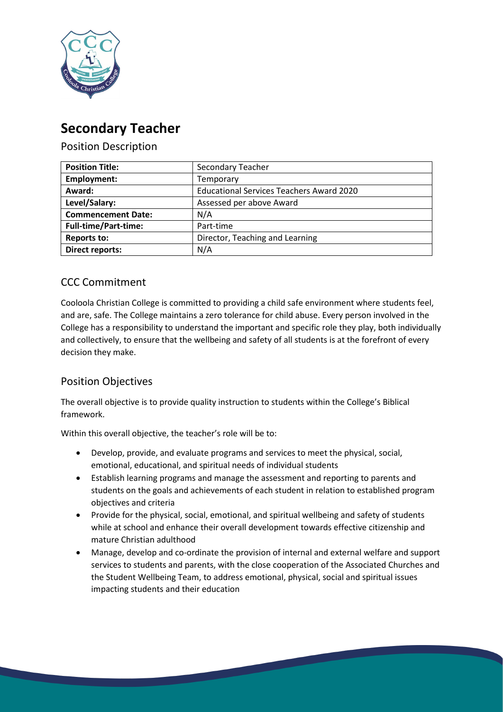

# **Secondary Teacher**

Position Description

| <b>Position Title:</b>      | <b>Secondary Teacher</b>                        |
|-----------------------------|-------------------------------------------------|
| Employment:                 | Temporary                                       |
| Award:                      | <b>Educational Services Teachers Award 2020</b> |
| Level/Salary:               | Assessed per above Award                        |
| <b>Commencement Date:</b>   | N/A                                             |
| <b>Full-time/Part-time:</b> | Part-time                                       |
| <b>Reports to:</b>          | Director, Teaching and Learning                 |
| <b>Direct reports:</b>      | N/A                                             |

# CCC Commitment

Cooloola Christian College is committed to providing a child safe environment where students feel, and are, safe. The College maintains a zero tolerance for child abuse. Every person involved in the College has a responsibility to understand the important and specific role they play, both individually and collectively, to ensure that the wellbeing and safety of all students is at the forefront of every decision they make.

# Position Objectives

The overall objective is to provide quality instruction to students within the College's Biblical framework.

Within this overall objective, the teacher's role will be to:

- Develop, provide, and evaluate programs and services to meet the physical, social, emotional, educational, and spiritual needs of individual students
- Establish learning programs and manage the assessment and reporting to parents and students on the goals and achievements of each student in relation to established program objectives and criteria
- Provide for the physical, social, emotional, and spiritual wellbeing and safety of students while at school and enhance their overall development towards effective citizenship and mature Christian adulthood
- Manage, develop and co-ordinate the provision of internal and external welfare and support services to students and parents, with the close cooperation of the Associated Churches and the Student Wellbeing Team, to address emotional, physical, social and spiritual issues impacting students and their education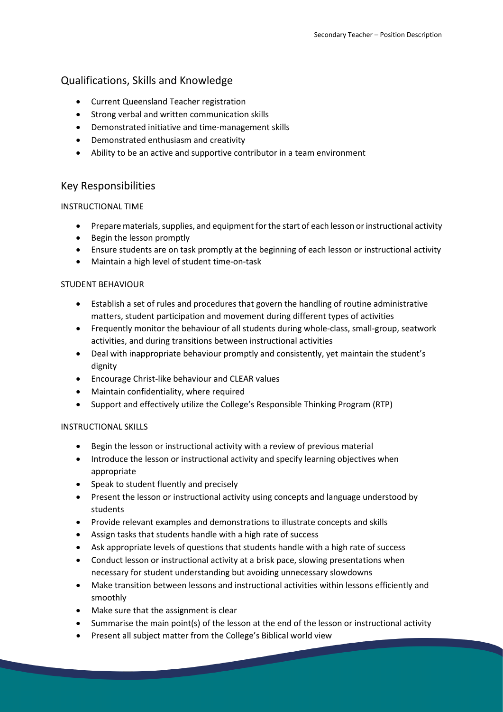## Qualifications, Skills and Knowledge

- Current Queensland Teacher registration
- Strong verbal and written communication skills
- Demonstrated initiative and time-management skills
- Demonstrated enthusiasm and creativity
- Ability to be an active and supportive contributor in a team environment

### Key Responsibilities

#### INSTRUCTIONAL TIME

- Prepare materials, supplies, and equipment for the start of each lesson or instructional activity
- Begin the lesson promptly
- Ensure students are on task promptly at the beginning of each lesson or instructional activity
- Maintain a high level of student time-on-task

#### STUDENT BEHAVIOUR

- Establish a set of rules and procedures that govern the handling of routine administrative matters, student participation and movement during different types of activities
- Frequently monitor the behaviour of all students during whole-class, small-group, seatwork activities, and during transitions between instructional activities
- Deal with inappropriate behaviour promptly and consistently, yet maintain the student's dignity
- Encourage Christ-like behaviour and CLEAR values
- Maintain confidentiality, where required
- Support and effectively utilize the College's Responsible Thinking Program (RTP)

#### INSTRUCTIONAL SKILLS

- Begin the lesson or instructional activity with a review of previous material
- Introduce the lesson or instructional activity and specify learning objectives when appropriate
- Speak to student fluently and precisely
- Present the lesson or instructional activity using concepts and language understood by students
- Provide relevant examples and demonstrations to illustrate concepts and skills
- Assign tasks that students handle with a high rate of success
- Ask appropriate levels of questions that students handle with a high rate of success
- Conduct lesson or instructional activity at a brisk pace, slowing presentations when necessary for student understanding but avoiding unnecessary slowdowns
- Make transition between lessons and instructional activities within lessons efficiently and smoothly
- Make sure that the assignment is clear
- Summarise the main point(s) of the lesson at the end of the lesson or instructional activity
- Present all subject matter from the College's Biblical world view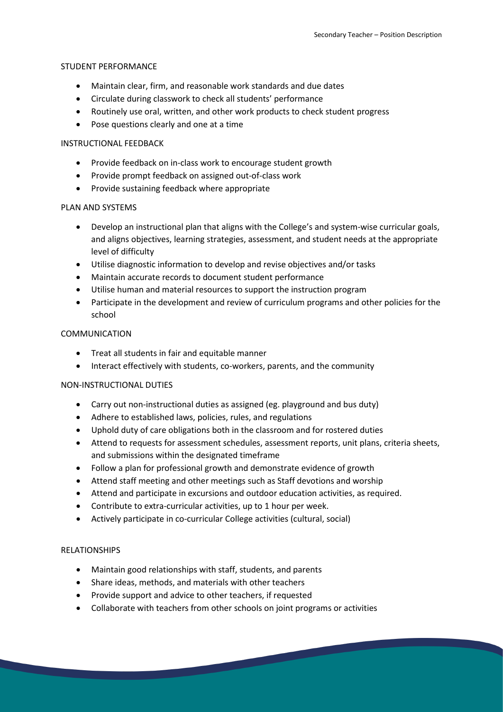#### STUDENT PERFORMANCE

- Maintain clear, firm, and reasonable work standards and due dates
- Circulate during classwork to check all students' performance
- Routinely use oral, written, and other work products to check student progress
- Pose questions clearly and one at a time

#### INSTRUCTIONAL FEEDBACK

- Provide feedback on in-class work to encourage student growth
- Provide prompt feedback on assigned out-of-class work
- Provide sustaining feedback where appropriate

#### PLAN AND SYSTEMS

- Develop an instructional plan that aligns with the College's and system-wise curricular goals, and aligns objectives, learning strategies, assessment, and student needs at the appropriate level of difficulty
- Utilise diagnostic information to develop and revise objectives and/or tasks
- Maintain accurate records to document student performance
- Utilise human and material resources to support the instruction program
- Participate in the development and review of curriculum programs and other policies for the school

#### COMMUNICATION

- Treat all students in fair and equitable manner
- Interact effectively with students, co-workers, parents, and the community

#### NON-INSTRUCTIONAL DUTIES

- Carry out non-instructional duties as assigned (eg. playground and bus duty)
- Adhere to established laws, policies, rules, and regulations
- Uphold duty of care obligations both in the classroom and for rostered duties
- Attend to requests for assessment schedules, assessment reports, unit plans, criteria sheets, and submissions within the designated timeframe
- Follow a plan for professional growth and demonstrate evidence of growth
- Attend staff meeting and other meetings such as Staff devotions and worship
- Attend and participate in excursions and outdoor education activities, as required.
- Contribute to extra-curricular activities, up to 1 hour per week.
- Actively participate in co-curricular College activities (cultural, social)

#### RELATIONSHIPS

- Maintain good relationships with staff, students, and parents
- Share ideas, methods, and materials with other teachers
- Provide support and advice to other teachers, if requested
- Collaborate with teachers from other schools on joint programs or activities